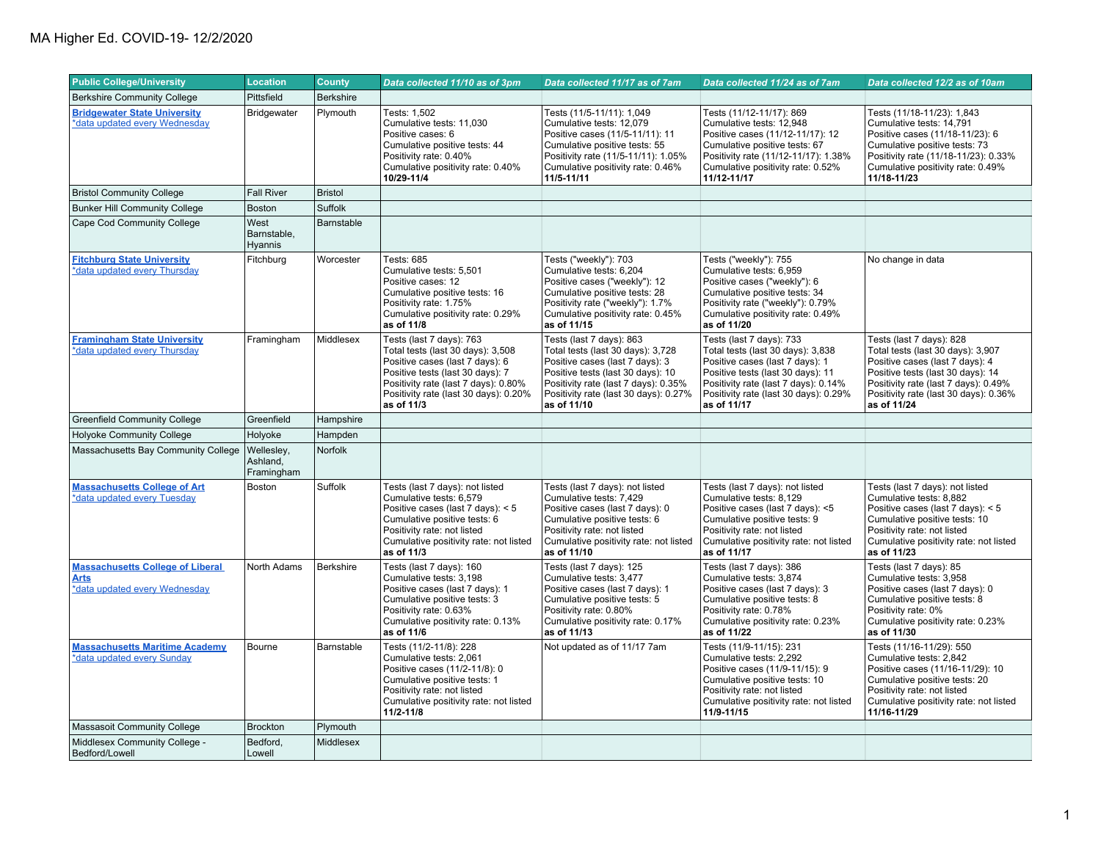| <b>Public College/University</b>                                                        | <b>Location</b>                      | <b>County</b>    | Data collected 11/10 as of 3pm                                                                                                                                                                                                      | Data collected 11/17 as of 7am                                                                                                                                                                                                        | Data collected 11/24 as of 7am                                                                                                                                                                                                        | Data collected 12/2 as of 10am                                                                                                                                                                                                        |
|-----------------------------------------------------------------------------------------|--------------------------------------|------------------|-------------------------------------------------------------------------------------------------------------------------------------------------------------------------------------------------------------------------------------|---------------------------------------------------------------------------------------------------------------------------------------------------------------------------------------------------------------------------------------|---------------------------------------------------------------------------------------------------------------------------------------------------------------------------------------------------------------------------------------|---------------------------------------------------------------------------------------------------------------------------------------------------------------------------------------------------------------------------------------|
| <b>Berkshire Community College</b>                                                      | Pittsfield                           | <b>Berkshire</b> |                                                                                                                                                                                                                                     |                                                                                                                                                                                                                                       |                                                                                                                                                                                                                                       |                                                                                                                                                                                                                                       |
| <b>Bridgewater State University</b><br>*data updated every Wednesday                    | Bridgewater                          | Plymouth         | Tests: 1.502<br>Cumulative tests: 11,030<br>Positive cases: 6<br>Cumulative positive tests: 44<br>Positivity rate: 0.40%<br>Cumulative positivity rate: 0.40%<br>10/29-11/4                                                         | Tests (11/5-11/11): 1,049<br>Cumulative tests: 12,079<br>Positive cases (11/5-11/11): 11<br>Cumulative positive tests: 55<br>Positivity rate (11/5-11/11): 1.05%<br>Cumulative positivity rate: 0.46%<br>11/5-11/11                   | Tests (11/12-11/17): 869<br>Cumulative tests: 12,948<br>Positive cases (11/12-11/17): 12<br>Cumulative positive tests: 67<br>Positivity rate (11/12-11/17): 1.38%<br>Cumulative positivity rate: 0.52%<br>11/12-11/17                 | Tests (11/18-11/23): 1,843<br>Cumulative tests: 14,791<br>Positive cases (11/18-11/23): 6<br>Cumulative positive tests: 73<br>Positivity rate (11/18-11/23): 0.33%<br>Cumulative positivity rate: 0.49%<br>11/18-11/23                |
| <b>Bristol Community College</b>                                                        | <b>Fall River</b>                    | <b>Bristol</b>   |                                                                                                                                                                                                                                     |                                                                                                                                                                                                                                       |                                                                                                                                                                                                                                       |                                                                                                                                                                                                                                       |
| <b>Bunker Hill Community College</b>                                                    | <b>Boston</b>                        | Suffolk          |                                                                                                                                                                                                                                     |                                                                                                                                                                                                                                       |                                                                                                                                                                                                                                       |                                                                                                                                                                                                                                       |
| Cape Cod Community College                                                              | West<br>Barnstable,<br>Hyannis       | Barnstable       |                                                                                                                                                                                                                                     |                                                                                                                                                                                                                                       |                                                                                                                                                                                                                                       |                                                                                                                                                                                                                                       |
| <b>Fitchburg State University</b><br>*data updated every Thursday                       | Fitchburg                            | Worcester        | Tests: 685<br>Cumulative tests: 5,501<br>Positive cases: 12<br>Cumulative positive tests: 16<br>Positivity rate: 1.75%<br>Cumulative positivity rate: 0.29%<br>as of 11/8                                                           | Tests ("weekly"): 703<br>Cumulative tests: 6,204<br>Positive cases ("weekly"): 12<br>Cumulative positive tests: 28<br>Positivity rate ("weekly"): 1.7%<br>Cumulative positivity rate: 0.45%<br>as of 11/15                            | Tests ("weekly"): 755<br>Cumulative tests: 6,959<br>Positive cases ("weekly"): 6<br>Cumulative positive tests: 34<br>Positivity rate ("weekly"): 0.79%<br>Cumulative positivity rate: 0.49%<br>as of 11/20                            | No change in data                                                                                                                                                                                                                     |
| <b>Framingham State University</b><br>*data updated every Thursday                      | Framingham                           | Middlesex        | Tests (last 7 days): 763<br>Total tests (last 30 days): 3,508<br>Positive cases (last 7 days): 6<br>Positive tests (last 30 days): 7<br>Positivity rate (last 7 days): 0.80%<br>Positivity rate (last 30 days): 0.20%<br>as of 11/3 | Tests (last 7 days): 863<br>Total tests (last 30 days): 3,728<br>Positive cases (last 7 days): 3<br>Positive tests (last 30 days): 10<br>Positivity rate (last 7 days): 0.35%<br>Positivity rate (last 30 days): 0.27%<br>as of 11/10 | Tests (last 7 days): 733<br>Total tests (last 30 days): 3,838<br>Positive cases (last 7 days): 1<br>Positive tests (last 30 days): 11<br>Positivity rate (last 7 days): 0.14%<br>Positivity rate (last 30 days): 0.29%<br>as of 11/17 | Tests (last 7 days): 828<br>Total tests (last 30 days): 3,907<br>Positive cases (last 7 days): 4<br>Positive tests (last 30 days): 14<br>Positivity rate (last 7 days): 0.49%<br>Positivity rate (last 30 days): 0.36%<br>as of 11/24 |
| <b>Greenfield Community College</b>                                                     | Greenfield                           | Hampshire        |                                                                                                                                                                                                                                     |                                                                                                                                                                                                                                       |                                                                                                                                                                                                                                       |                                                                                                                                                                                                                                       |
| <b>Holyoke Community College</b>                                                        | Holyoke                              | Hampden          |                                                                                                                                                                                                                                     |                                                                                                                                                                                                                                       |                                                                                                                                                                                                                                       |                                                                                                                                                                                                                                       |
| Massachusetts Bay Community College                                                     | Wellesley,<br>Ashland,<br>Framingham | Norfolk          |                                                                                                                                                                                                                                     |                                                                                                                                                                                                                                       |                                                                                                                                                                                                                                       |                                                                                                                                                                                                                                       |
| <b>Massachusetts College of Art</b><br>*data updated every Tuesday                      | <b>Boston</b>                        | Suffolk          | Tests (last 7 days): not listed<br>Cumulative tests: 6,579<br>Positive cases (last 7 days): < 5<br>Cumulative positive tests: 6<br>Positivity rate: not listed<br>Cumulative positivity rate: not listed<br>as of 11/3              | Tests (last 7 days): not listed<br>Cumulative tests: 7,429<br>Positive cases (last 7 days): 0<br>Cumulative positive tests: 6<br>Positivity rate: not listed<br>Cumulative positivity rate: not listed<br>as of 11/10                 | Tests (last 7 days): not listed<br>Cumulative tests: 8,129<br>Positive cases (last 7 days): <5<br>Cumulative positive tests: 9<br>Positivity rate: not listed<br>Cumulative positivity rate: not listed<br>as of 11/17                | Tests (last 7 days): not listed<br>Cumulative tests: 8,882<br>Positive cases (last 7 days): < 5<br>Cumulative positive tests: 10<br>Positivity rate: not listed<br>Cumulative positivity rate: not listed<br>as of 11/23              |
| <b>Massachusetts College of Liberal</b><br><b>Arts</b><br>*data updated every Wednesday | North Adams                          | <b>Berkshire</b> | Tests (last 7 days): 160<br>Cumulative tests: 3,198<br>Positive cases (last 7 days): 1<br>Cumulative positive tests: 3<br>Positivity rate: 0.63%<br>Cumulative positivity rate: 0.13%<br>as of 11/6                                 | Tests (last 7 days): 125<br>Cumulative tests: 3.477<br>Positive cases (last 7 days): 1<br>Cumulative positive tests: 5<br>Positivity rate: 0.80%<br>Cumulative positivity rate: 0.17%<br>as of 11/13                                  | Tests (last 7 days): 386<br>Cumulative tests: 3,874<br>Positive cases (last 7 days): 3<br>Cumulative positive tests: 8<br>Positivity rate: 0.78%<br>Cumulative positivity rate: 0.23%<br>as of 11/22                                  | Tests (last 7 days): 85<br>Cumulative tests: 3,958<br>Positive cases (last 7 days): 0<br>Cumulative positive tests: 8<br>Positivity rate: 0%<br>Cumulative positivity rate: 0.23%<br>as of 11/30                                      |
| <b>Massachusetts Maritime Academy</b><br>*data updated every Sunday                     | Bourne                               | Barnstable       | Tests (11/2-11/8): 228<br>Cumulative tests: 2,061<br>Positive cases (11/2-11/8): 0<br>Cumulative positive tests: 1<br>Positivity rate: not listed<br>Cumulative positivity rate: not listed<br>$11/2 - 11/8$                        | Not updated as of 11/17 7am                                                                                                                                                                                                           | Tests (11/9-11/15): 231<br>Cumulative tests: 2,292<br>Positive cases (11/9-11/15): 9<br>Cumulative positive tests: 10<br>Positivity rate: not listed<br>Cumulative positivity rate: not listed<br>11/9-11/15                          | Tests (11/16-11/29): 550<br>Cumulative tests: 2.842<br>Positive cases (11/16-11/29): 10<br>Cumulative positive tests: 20<br>Positivity rate: not listed<br>Cumulative positivity rate: not listed<br>11/16-11/29                      |
| <b>Massasoit Community College</b>                                                      | <b>Brockton</b>                      | Plymouth         |                                                                                                                                                                                                                                     |                                                                                                                                                                                                                                       |                                                                                                                                                                                                                                       |                                                                                                                                                                                                                                       |
| Middlesex Community College -<br>Bedford/Lowell                                         | Bedford,<br>Lowell                   | Middlesex        |                                                                                                                                                                                                                                     |                                                                                                                                                                                                                                       |                                                                                                                                                                                                                                       |                                                                                                                                                                                                                                       |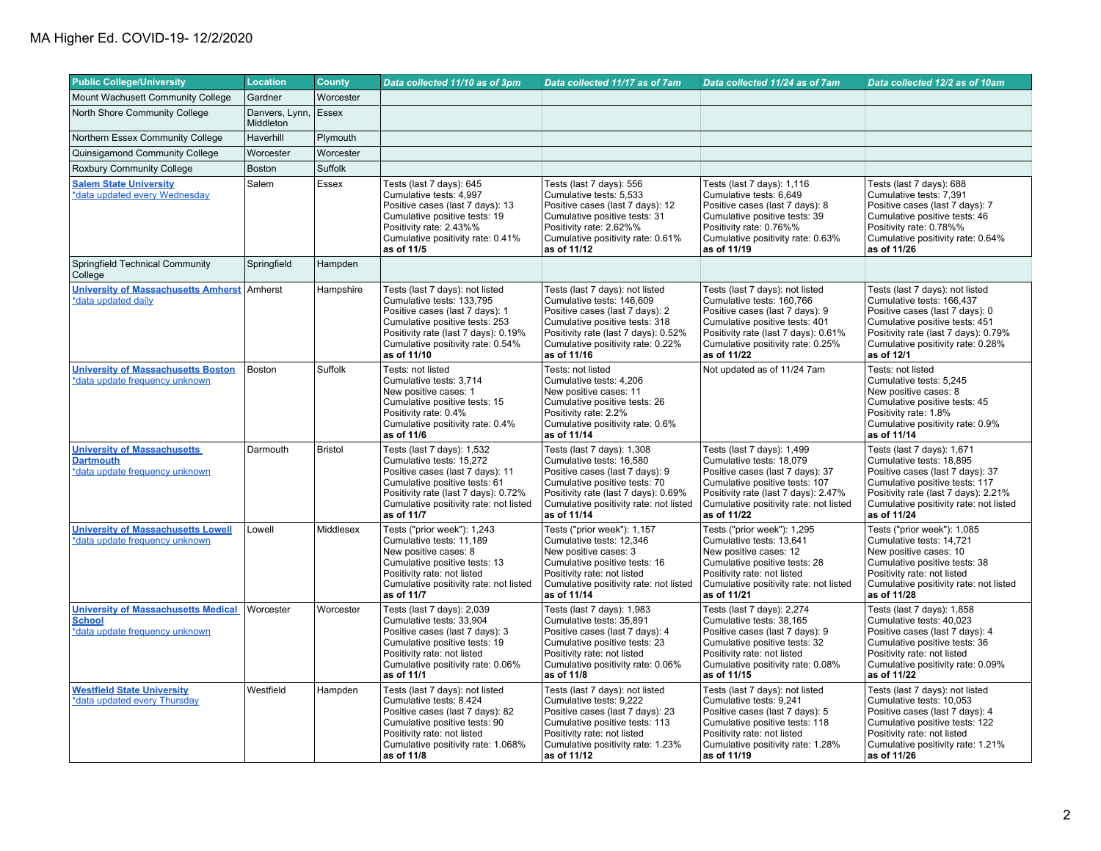| <b>Public College/University</b>                                                              | <b>Location</b>             | <b>County</b>  | Data collected 11/10 as of 3pm                                                                                                                                                                                                | Data collected 11/17 as of 7am                                                                                                                                                                                                | Data collected 11/24 as of 7am                                                                                                                                                                                                | Data collected 12/2 as of 10am                                                                                                                                                                                                |
|-----------------------------------------------------------------------------------------------|-----------------------------|----------------|-------------------------------------------------------------------------------------------------------------------------------------------------------------------------------------------------------------------------------|-------------------------------------------------------------------------------------------------------------------------------------------------------------------------------------------------------------------------------|-------------------------------------------------------------------------------------------------------------------------------------------------------------------------------------------------------------------------------|-------------------------------------------------------------------------------------------------------------------------------------------------------------------------------------------------------------------------------|
| Mount Wachusett Community College                                                             | Gardner                     | Worcester      |                                                                                                                                                                                                                               |                                                                                                                                                                                                                               |                                                                                                                                                                                                                               |                                                                                                                                                                                                                               |
| North Shore Community College                                                                 | Danvers, Lynn,<br>Middleton | Essex          |                                                                                                                                                                                                                               |                                                                                                                                                                                                                               |                                                                                                                                                                                                                               |                                                                                                                                                                                                                               |
| Northern Essex Community College                                                              | Haverhill                   | Plymouth       |                                                                                                                                                                                                                               |                                                                                                                                                                                                                               |                                                                                                                                                                                                                               |                                                                                                                                                                                                                               |
| Quinsigamond Community College                                                                | Worcester                   | Worcester      |                                                                                                                                                                                                                               |                                                                                                                                                                                                                               |                                                                                                                                                                                                                               |                                                                                                                                                                                                                               |
| Roxbury Community College                                                                     | <b>Boston</b>               | Suffolk        |                                                                                                                                                                                                                               |                                                                                                                                                                                                                               |                                                                                                                                                                                                                               |                                                                                                                                                                                                                               |
| <b>Salem State University</b><br>*data updated every Wednesday                                | Salem                       | <b>Essex</b>   | Tests (last 7 days): 645<br>Cumulative tests: 4,997<br>Positive cases (last 7 days): 13<br>Cumulative positive tests: 19<br>Positivity rate: 2.43%%<br>Cumulative positivity rate: 0.41%<br>as of 11/5                        | Tests (last 7 days): 556<br>Cumulative tests: 5,533<br>Positive cases (last 7 days): 12<br>Cumulative positive tests: 31<br>Positivity rate: 2.62%%<br>Cumulative positivity rate: 0.61%<br>as of 11/12                       | Tests (last 7 days): 1,116<br>Cumulative tests: 6,649<br>Positive cases (last 7 days): 8<br>Cumulative positive tests: 39<br>Positivity rate: 0.76%%<br>Cumulative positivity rate: 0.63%<br>as of 11/19                      | Tests (last 7 days): 688<br>Cumulative tests: 7,391<br>Positive cases (last 7 days): 7<br>Cumulative positive tests: 46<br>Positivity rate: 0.78%%<br>Cumulative positivity rate: 0.64%<br>as of 11/26                        |
| Springfield Technical Community<br>College                                                    | Springfield                 | Hampden        |                                                                                                                                                                                                                               |                                                                                                                                                                                                                               |                                                                                                                                                                                                                               |                                                                                                                                                                                                                               |
| <b>University of Massachusetts Amherst</b><br>*data updated daily                             | Amherst                     | Hampshire      | Tests (last 7 days): not listed<br>Cumulative tests: 133,795<br>Positive cases (last 7 days): 1<br>Cumulative positive tests: 253<br>Positivity rate (last 7 days): 0.19%<br>Cumulative positivity rate: 0.54%<br>as of 11/10 | Tests (last 7 days): not listed<br>Cumulative tests: 146,609<br>Positive cases (last 7 days): 2<br>Cumulative positive tests: 318<br>Positivity rate (last 7 days): 0.52%<br>Cumulative positivity rate: 0.22%<br>as of 11/16 | Tests (last 7 days): not listed<br>Cumulative tests: 160,766<br>Positive cases (last 7 days): 9<br>Cumulative positive tests: 401<br>Positivity rate (last 7 days): 0.61%<br>Cumulative positivity rate: 0.25%<br>as of 11/22 | Tests (last 7 days): not listed<br>Cumulative tests: 166,437<br>Positive cases (last 7 days): 0<br>Cumulative positive tests: 451<br>Positivity rate (last 7 days): 0.79%<br>Cumulative positivity rate: 0.28%<br>as of 12/1  |
| <b>University of Massachusetts Boston</b><br>*data update frequency unknown                   | <b>Boston</b>               | Suffolk        | Tests: not listed<br>Cumulative tests: 3,714<br>New positive cases: 1<br>Cumulative positive tests: 15<br>Positivity rate: 0.4%<br>Cumulative positivity rate: 0.4%<br>as of 11/6                                             | Tests: not listed<br>Cumulative tests: 4,206<br>New positive cases: 11<br>Cumulative positive tests: 26<br>Positivity rate: 2.2%<br>Cumulative positivity rate: 0.6%<br>as of 11/14                                           | Not updated as of 11/24 7am                                                                                                                                                                                                   | Tests: not listed<br>Cumulative tests: 5,245<br>New positive cases: 8<br>Cumulative positive tests: 45<br>Positivity rate: 1.8%<br>Cumulative positivity rate: 0.9%<br>as of 11/14                                            |
| <b>University of Massachusetts</b><br><b>Dartmouth</b><br>*data update frequency unknown      | Darmouth                    | <b>Bristol</b> | Tests (last 7 days): 1,532<br>Cumulative tests: 15.272<br>Positive cases (last 7 days): 11<br>Cumulative positive tests: 61<br>Positivity rate (last 7 days): 0.72%<br>Cumulative positivity rate: not listed<br>as of 11/7   | Tests (last 7 days): 1,308<br>Cumulative tests: 16.580<br>Positive cases (last 7 days): 9<br>Cumulative positive tests: 70<br>Positivity rate (last 7 days): 0.69%<br>Cumulative positivity rate: not listed<br>as of 11/14   | Tests (last 7 days): 1,499<br>Cumulative tests: 18,079<br>Positive cases (last 7 days): 37<br>Cumulative positive tests: 107<br>Positivity rate (last 7 days): 2.47%<br>Cumulative positivity rate: not listed<br>as of 11/22 | Tests (last 7 days): 1,671<br>Cumulative tests: 18.895<br>Positive cases (last 7 days): 37<br>Cumulative positive tests: 117<br>Positivity rate (last 7 days): 2.21%<br>Cumulative positivity rate: not listed<br>as of 11/24 |
| <b>University of Massachusetts Lowell</b><br>*data update frequency unknown                   | Lowell                      | Middlesex      | Tests ("prior week"): 1,243<br>Cumulative tests: 11,189<br>New positive cases: 8<br>Cumulative positive tests: 13<br>Positivity rate: not listed<br>Cumulative positivity rate: not listed<br>as of 11/7                      | Tests ("prior week"): 1,157<br>Cumulative tests: 12,346<br>New positive cases: 3<br>Cumulative positive tests: 16<br>Positivity rate: not listed<br>Cumulative positivity rate: not listed<br>as of 11/14                     | Tests ("prior week"): 1,295<br>Cumulative tests: 13,641<br>New positive cases: 12<br>Cumulative positive tests: 28<br>Positivity rate: not listed<br>Cumulative positivity rate: not listed<br>as of 11/21                    | Tests ("prior week"): 1,085<br>Cumulative tests: 14,721<br>New positive cases: 10<br>Cumulative positive tests: 38<br>Positivity rate: not listed<br>Cumulative positivity rate: not listed<br>as of 11/28                    |
| <b>University of Massachusetts Medical</b><br><b>School</b><br>*data update frequency unknown | Worcester                   | Worcester      | Tests (last 7 days): 2,039<br>Cumulative tests: 33,904<br>Positive cases (last 7 days): 3<br>Cumulative positive tests: 19<br>Positivity rate: not listed<br>Cumulative positivity rate: 0.06%<br>as of 11/1                  | Tests (last 7 days): 1,983<br>Cumulative tests: 35,891<br>Positive cases (last 7 days): 4<br>Cumulative positive tests: 23<br>Positivity rate: not listed<br>Cumulative positivity rate: 0.06%<br>as of 11/8                  | Tests (last 7 days): 2,274<br>Cumulative tests: 38,165<br>Positive cases (last 7 days): 9<br>Cumulative positive tests: 32<br>Positivity rate: not listed<br>Cumulative positivity rate: 0.08%<br>as of 11/15                 | Tests (last 7 days): 1,858<br>Cumulative tests: 40.023<br>Positive cases (last 7 days): 4<br>Cumulative positive tests: 36<br>Positivity rate: not listed<br>Cumulative positivity rate: 0.09%<br>as of 11/22                 |
| <b>Westfield State University</b><br>*data updated every Thursday                             | Westfield                   | Hampden        | Tests (last 7 days): not listed<br>Cumulative tests: 8.424<br>Positive cases (last 7 days): 82<br>Cumulative positive tests: 90<br>Positivity rate: not listed<br>Cumulative positivity rate: 1.068%<br>as of 11/8            | Tests (last 7 days): not listed<br>Cumulative tests: 9.222<br>Positive cases (last 7 days): 23<br>Cumulative positive tests: 113<br>Positivity rate: not listed<br>Cumulative positivity rate: 1.23%<br>as of 11/12           | Tests (last 7 days): not listed<br>Cumulative tests: 9.241<br>Positive cases (last 7 days): 5<br>Cumulative positive tests: 118<br>Positivity rate: not listed<br>Cumulative positivity rate: 1.28%<br>as of 11/19            | Tests (last 7 days): not listed<br>Cumulative tests: 10.053<br>Positive cases (last 7 days): 4<br>Cumulative positive tests: 122<br>Positivity rate: not listed<br>Cumulative positivity rate: 1.21%<br>as of 11/26           |